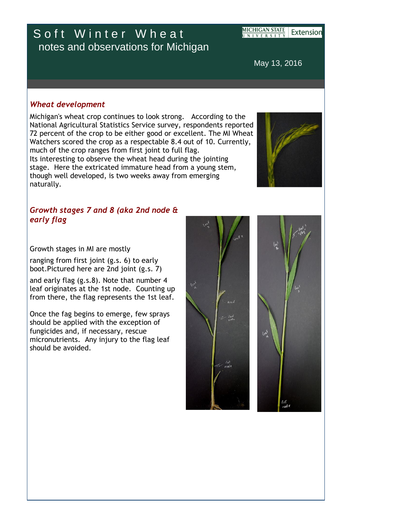## Soft Winter Wheat notes and observations for Michigan

**MICHIGAN STATE** Extension NIVERSITY

May 13, 2016

## *Wheat development*

Michigan's wheat crop continues to look strong. According to the National Agricultural Statistics Service survey, respondents reported 72 percent of the crop to be either good or excellent. The MI Wheat Watchers scored the crop as a respectable 8.4 out of 10. Currently, much of the crop ranges from first joint to full flag. Its interesting to observe the wheat head during the jointing stage. Here the extricated immature head from a young stem, though well developed, is two weeks away from emerging naturally.



## *Growth stages 7 and 8 (aka 2nd node & early flag*

Growth stages in MI are mostly

ranging from first joint (g.s. 6) to early boot.Pictured here are 2nd joint (g.s. 7)

and early flag (g.s.8). Note that number 4 leaf originates at the 1st node. Counting up from there, the flag represents the 1st leaf.

Once the fag begins to emerge, few sprays should be applied with the exception of fungicides and, if necessary, rescue micronutrients. Any injury to the flag leaf should be avoided.